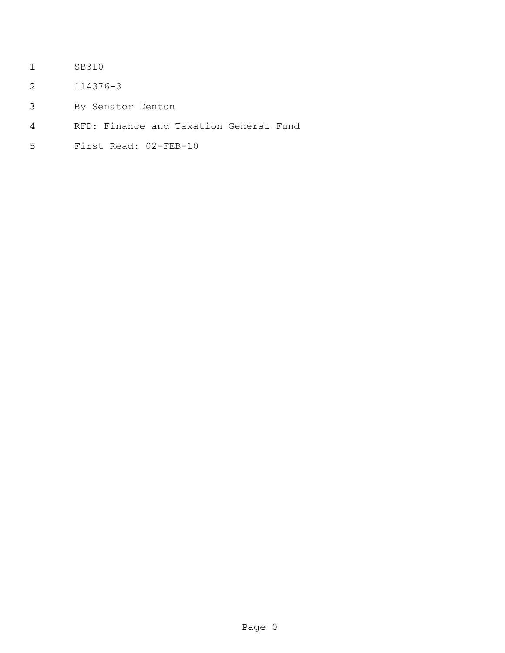- SB310
- 114376-3
- By Senator Denton
- RFD: Finance and Taxation General Fund
- First Read: 02-FEB-10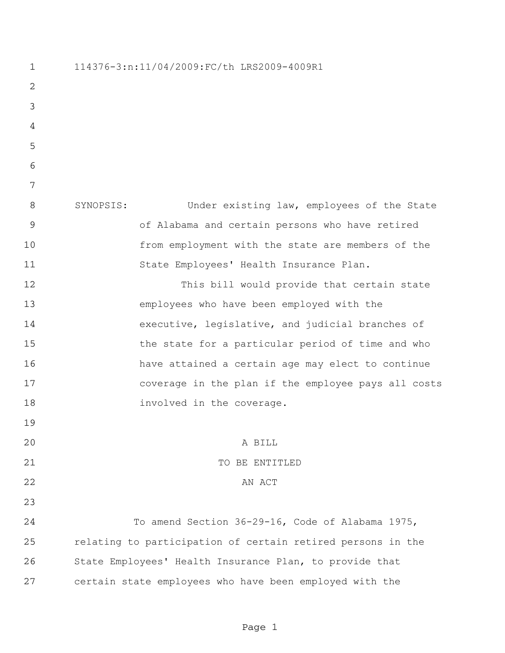114376-3:n:11/04/2009:FC/th LRS2009-4009R1 SYNOPSIS: Under existing law, employees of the State of Alabama and certain persons who have retired from employment with the state are members of the State Employees' Health Insurance Plan. This bill would provide that certain state employees who have been employed with the executive, legislative, and judicial branches of 15 the state for a particular period of time and who have attained a certain age may elect to continue coverage in the plan if the employee pays all costs 18 involved in the coverage. A BILL 21 TO BE ENTITLED 22 AN ACT To amend Section 36-29-16, Code of Alabama 1975, relating to participation of certain retired persons in the State Employees' Health Insurance Plan, to provide that certain state employees who have been employed with the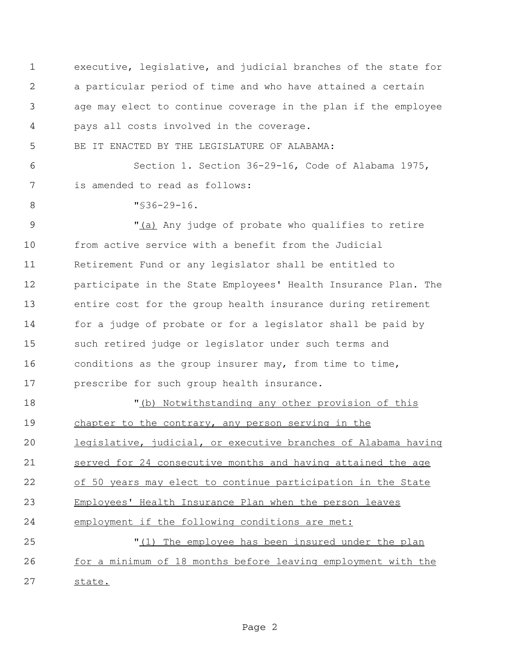executive, legislative, and judicial branches of the state for a particular period of time and who have attained a certain age may elect to continue coverage in the plan if the employee pays all costs involved in the coverage. BE IT ENACTED BY THE LEGISLATURE OF ALABAMA: Section 1. Section 36-29-16, Code of Alabama 1975, is amended to read as follows: "§36-29-16. 9 The M<sub>1</sub> all Any judge of probate who qualifies to retire from active service with a benefit from the Judicial Retirement Fund or any legislator shall be entitled to participate in the State Employees' Health Insurance Plan. The entire cost for the group health insurance during retirement for a judge of probate or for a legislator shall be paid by such retired judge or legislator under such terms and conditions as the group insurer may, from time to time, prescribe for such group health insurance.  $\blacksquare$  (b) Notwithstanding any other provision of this chapter to the contrary, any person serving in the legislative, judicial, or executive branches of Alabama having 21 served for 24 consecutive months and having attained the age of 50 years may elect to continue participation in the State Employees' Health Insurance Plan when the person leaves employment if the following conditions are met: "(1) The employee has been insured under the plan 26 for a minimum of 18 months before leaving employment with the state.